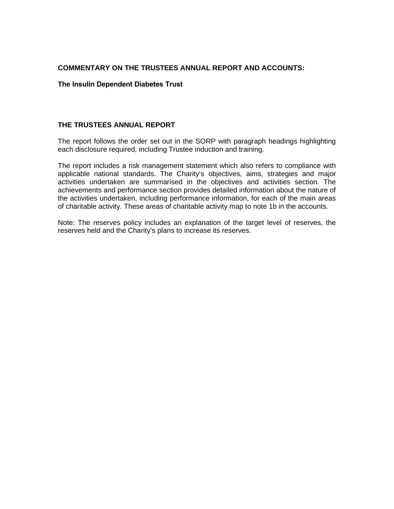### **COMMENTARY ON THE TRUSTEES ANNUAL REPORT AND ACCOUNTS:**

### **The Insulin Dependent Diabetes Trust**

#### **THE TRUSTEES ANNUAL REPORT**

The report follows the order set out in the SORP with paragraph headings highlighting each disclosure required, including Trustee induction and training.

The report includes a risk management statement which also refers to compliance with applicable national standards. The Charity's objectives, aims, strategies and major activities undertaken are summarised in the objectives and activities section. The achievements and performance section provides detailed information about the nature of the activities undertaken, including performance information, for each of the main areas of charitable activity. These areas of charitable activity map to note 1b in the accounts.

Note: The reserves policy includes an explanation of the target level of reserves, the reserves held and the Charity's plans to increase its reserves.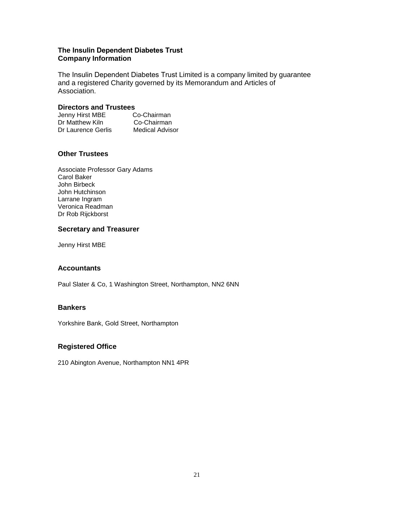### **The Insulin Dependent Diabetes Trust Company Information**

The Insulin Dependent Diabetes Trust Limited is a company limited by guarantee and a registered Charity governed by its Memorandum and Articles of Association.

#### **Directors and Trustees**

| Jenny Hirst MBE    | Co-Chairman            |
|--------------------|------------------------|
| Dr Matthew Kiln    | Co-Chairman            |
| Dr Laurence Gerlis | <b>Medical Advisor</b> |

## **Other Trustees**

Associate Professor Gary Adams Carol Baker John Birbeck John Hutchinson Larrane Ingram Veronica Readman Dr Rob Rijckborst

### **Secretary and Treasurer**

Jenny Hirst MBE

## **Accountants**

Paul Slater & Co, 1 Washington Street, Northampton, NN2 6NN

#### **Bankers**

Yorkshire Bank, Gold Street, Northampton

## **Registered Office**

210 Abington Avenue, Northampton NN1 4PR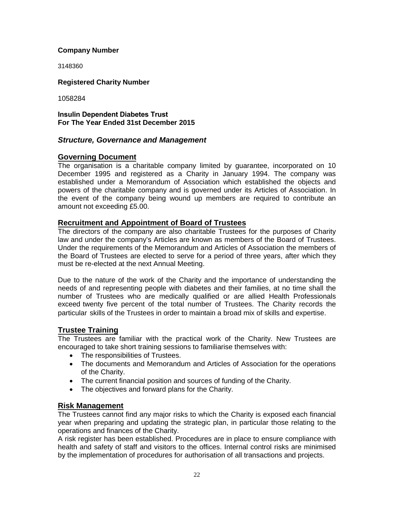## **Company Number**

3148360

## **Registered Charity Number**

1058284

### **Insulin Dependent Diabetes Trust For The Year Ended 31st December 2015**

# *Structure, Governance and Management*

# **Governing Document**

The organisation is a charitable company limited by guarantee, incorporated on 10 December 1995 and registered as a Charity in January 1994. The company was established under a Memorandum of Association which established the objects and powers of the charitable company and is governed under its Articles of Association. In the event of the company being wound up members are required to contribute an amount not exceeding £5.00.

## **Recruitment and Appointment of Board of Trustees**

The directors of the company are also charitable Trustees for the purposes of Charity law and under the company's Articles are known as members of the Board of Trustees. Under the requirements of the Memorandum and Articles of Association the members of the Board of Trustees are elected to serve for a period of three years, after which they must be re-elected at the next Annual Meeting.

Due to the nature of the work of the Charity and the importance of understanding the needs of and representing people with diabetes and their families, at no time shall the number of Trustees who are medically qualified or are allied Health Professionals exceed twenty five percent of the total number of Trustees. The Charity records the particular skills of the Trustees in order to maintain a broad mix of skills and expertise.

# **Trustee Training**

The Trustees are familiar with the practical work of the Charity. New Trustees are encouraged to take short training sessions to familiarise themselves with:

- The responsibilities of Trustees.
- The documents and Memorandum and Articles of Association for the operations of the Charity.
- The current financial position and sources of funding of the Charity.
- The objectives and forward plans for the Charity.

## **Risk Management**

The Trustees cannot find any major risks to which the Charity is exposed each financial year when preparing and updating the strategic plan, in particular those relating to the operations and finances of the Charity.

A risk register has been established. Procedures are in place to ensure compliance with health and safety of staff and visitors to the offices. Internal control risks are minimised by the implementation of procedures for authorisation of all transactions and projects.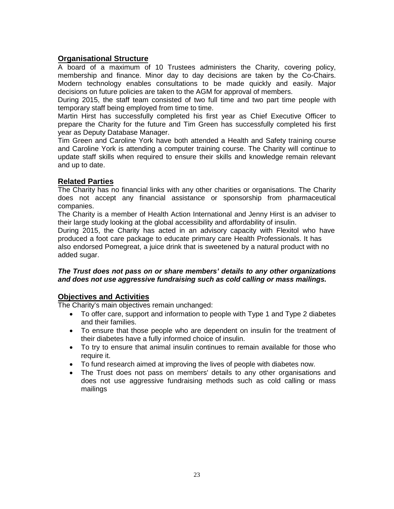# **Organisational Structure**

A board of a maximum of 10 Trustees administers the Charity, covering policy, membership and finance. Minor day to day decisions are taken by the Co-Chairs. Modern technology enables consultations to be made quickly and easily. Major decisions on future policies are taken to the AGM for approval of members.

During 2015, the staff team consisted of two full time and two part time people with temporary staff being employed from time to time.

Martin Hirst has successfully completed his first year as Chief Executive Officer to prepare the Charity for the future and Tim Green has successfully completed his first year as Deputy Database Manager.

Tim Green and Caroline York have both attended a Health and Safety training course and Caroline York is attending a computer training course. The Charity will continue to update staff skills when required to ensure their skills and knowledge remain relevant and up to date.

# **Related Parties**

The Charity has no financial links with any other charities or organisations. The Charity does not accept any financial assistance or sponsorship from pharmaceutical companies.

The Charity is a member of Health Action International and Jenny Hirst is an adviser to their large study looking at the global accessibility and affordability of insulin.

During 2015, the Charity has acted in an advisory capacity with Flexitol who have produced a foot care package to educate primary care Health Professionals. It has also endorsed Pomegreat, a juice drink that is sweetened by a natural product with no added sugar.

## *The Trust does not pass on or share members' details to any other organizations and does not use aggressive fundraising such as cold calling or mass mailings.*

# **Objectives and Activities**

The Charity's main objectives remain unchanged:

- To offer care, support and information to people with Type 1 and Type 2 diabetes and their families.
- To ensure that those people who are dependent on insulin for the treatment of their diabetes have a fully informed choice of insulin.
- To try to ensure that animal insulin continues to remain available for those who require it.
- To fund research aimed at improving the lives of people with diabetes now.
- The Trust does not pass on members' details to any other organisations and does not use aggressive fundraising methods such as cold calling or mass mailings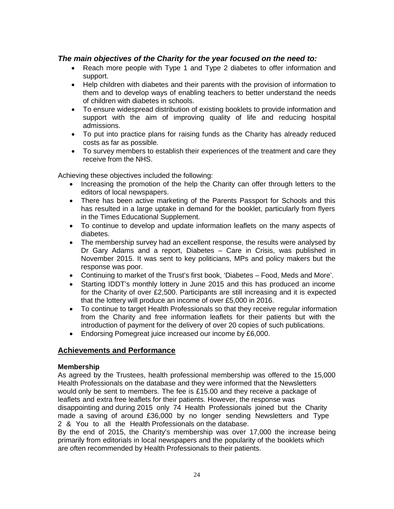# *The main objectives of the Charity for the year focused on the need to:*

- Reach more people with Type 1 and Type 2 diabetes to offer information and support.
- Help children with diabetes and their parents with the provision of information to them and to develop ways of enabling teachers to better understand the needs of children with diabetes in schools.
- To ensure widespread distribution of existing booklets to provide information and support with the aim of improving quality of life and reducing hospital admissions.
- To put into practice plans for raising funds as the Charity has already reduced costs as far as possible.
- To survey members to establish their experiences of the treatment and care they receive from the NHS.

Achieving these objectives included the following:

- Increasing the promotion of the help the Charity can offer through letters to the editors of local newspapers.
- There has been active marketing of the Parents Passport for Schools and this has resulted in a large uptake in demand for the booklet, particularly from flyers in the Times Educational Supplement.
- To continue to develop and update information leaflets on the many aspects of diabetes.
- The membership survey had an excellent response, the results were analysed by Dr Gary Adams and a report, Diabetes – Care in Crisis, was published in November 2015. It was sent to key politicians, MPs and policy makers but the response was poor.
- Continuing to market of the Trust's first book, 'Diabetes Food, Meds and More'.
- Starting IDDT's monthly lottery in June 2015 and this has produced an income for the Charity of over £2,500. Participants are still increasing and it is expected that the lottery will produce an income of over £5,000 in 2016.
- To continue to target Health Professionals so that they receive regular information from the Charity and free information leaflets for their patients but with the introduction of payment for the delivery of over 20 copies of such publications.
- Endorsing Pomegreat juice increased our income by £6,000.

## **Achievements and Performance**

#### **Membership**

As agreed by the Trustees, health professional membership was offered to the 15,000 Health Professionals on the database and they were informed that the Newsletters would only be sent to members. The fee is £15.00 and they receive a package of leaflets and extra free leaflets for their patients. However, the response was disappointing and during 2015 only 74 Health Professionals joined but the Charity made a saving of around £36,000 by no longer sending Newsletters and Type 2 & You to all the Health Professionals on the database.

By the end of 2015, the Charity's membership was over 17,000 the increase being primarily from editorials in local newspapers and the popularity of the booklets which are often recommended by Health Professionals to their patients.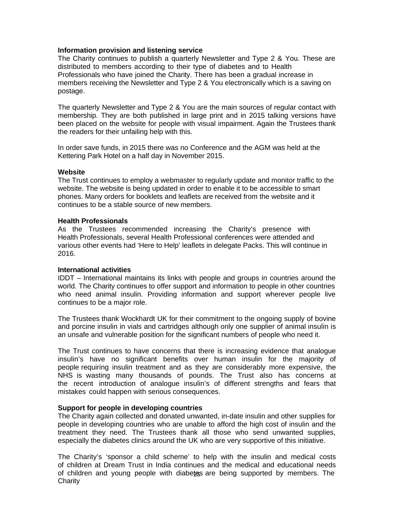### **Information provision and listening service**

The Charity continues to publish a quarterly Newsletter and Type 2 & You. These are distributed to members according to their type of diabetes and to Health Professionals who have joined the Charity. There has been a gradual increase in members receiving the Newsletter and Type 2 & You electronically which is a saving on postage.

The quarterly Newsletter and Type 2 & You are the main sources of regular contact with membership. They are both published in large print and in 2015 talking versions have been placed on the website for people with visual impairment. Again the Trustees thank the readers for their unfailing help with this.

In order save funds, in 2015 there was no Conference and the AGM was held at the Kettering Park Hotel on a half day in November 2015.

### **Website**

The Trust continues to employ a webmaster to regularly update and monitor traffic to the website. The website is being updated in order to enable it to be accessible to smart phones. Many orders for booklets and leaflets are received from the website and it continues to be a stable source of new members.

### **Health Professionals**

As the Trustees recommended increasing the Charity's presence with Health Professionals, several Health Professional conferences were attended and various other events had 'Here to Help' leaflets in delegate Packs. This will continue in 2016.

#### **International activities**

IDDT – International maintains its links with people and groups in countries around the world. The Charity continues to offer support and information to people in other countries who need animal insulin. Providing information and support wherever people live continues to be a major role.

The Trustees thank Wockhardt UK for their commitment to the ongoing supply of bovine and porcine insulin in vials and cartridges although only one supplier of animal insulin is an unsafe and vulnerable position for the significant numbers of people who need it.

The Trust continues to have concerns that there is increasing evidence that analogue insulin's have no significant benefits over human insulin for the majority of people requiring insulin treatment and as they are considerably more expensive, the NHS is wasting many thousands of pounds. The Trust also has concerns at the recent introduction of analogue insulin's of different strengths and fears that mistakes could happen with serious consequences.

## **Support for people in developing countries**

The Charity again collected and donated unwanted, in-date insulin and other supplies for people in developing countries who are unable to afford the high cost of insulin and the treatment they need. The Trustees thank all those who send unwanted supplies, especially the diabetes clinics around the UK who are very supportive of this initiative.

The Charity's 'sponsor a child scheme' to help with the insulin and medical costs of children at Dream Trust in India continues and the medical and educational needs of children and young people with diabetes are being supported by members. The **Charity**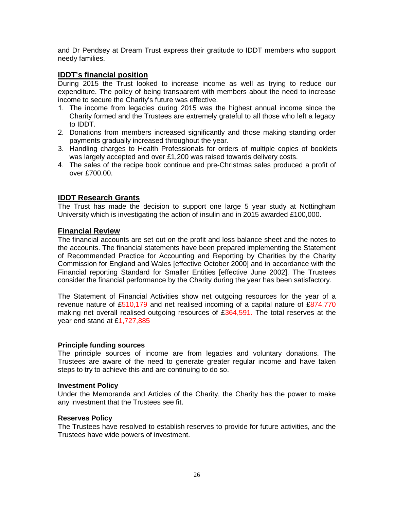and Dr Pendsey at Dream Trust express their gratitude to IDDT members who support needy families.

## **IDDT's financial position**

During 2015 the Trust looked to increase income as well as trying to reduce our expenditure. The policy of being transparent with members about the need to increase income to secure the Charity's future was effective.

- 1. The income from legacies during 2015 was the highest annual income since the Charity formed and the Trustees are extremely grateful to all those who left a legacy to IDDT.
- 2. Donations from members increased significantly and those making standing order payments gradually increased throughout the year.
- 3. Handling charges to Health Professionals for orders of multiple copies of booklets was largely accepted and over £1,200 was raised towards delivery costs.
- 4. The sales of the recipe book continue and pre-Christmas sales produced a profit of over £700.00.

# **IDDT Research Grants**

The Trust has made the decision to support one large 5 year study at Nottingham University which is investigating the action of insulin and in 2015 awarded £100,000.

## **Financial Review**

The financial accounts are set out on the profit and loss balance sheet and the notes to the accounts. The financial statements have been prepared implementing the Statement of Recommended Practice for Accounting and Reporting by Charities by the Charity Commission for England and Wales [effective October 2000] and in accordance with the Financial reporting Standard for Smaller Entities [effective June 2002]. The Trustees consider the financial performance by the Charity during the year has been satisfactory.

The Statement of Financial Activities show net outgoing resources for the year of a revenue nature of £510,179 and net realised incoming of a capital nature of £874,770 making net overall realised outgoing resources of  $£364,591$ . The total reserves at the year end stand at £1,727,885

## **Principle funding sources**

The principle sources of income are from legacies and voluntary donations. The Trustees are aware of the need to generate greater regular income and have taken steps to try to achieve this and are continuing to do so.

#### **Investment Policy**

Under the Memoranda and Articles of the Charity, the Charity has the power to make any investment that the Trustees see fit.

#### **Reserves Policy**

The Trustees have resolved to establish reserves to provide for future activities, and the Trustees have wide powers of investment.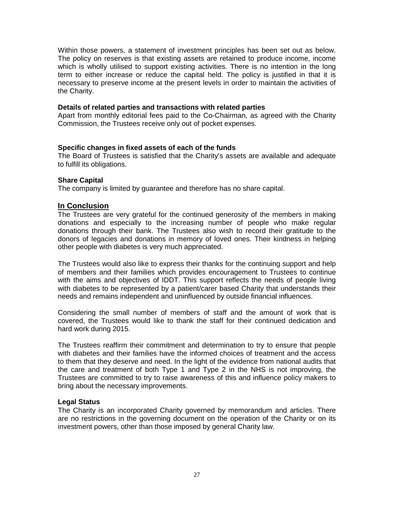Within those powers, a statement of investment principles has been set out as below. The policy on reserves is that existing assets are retained to produce income, income which is wholly utilised to support existing activities. There is no intention in the long term to either increase or reduce the capital held. The policy is justified in that it is necessary to preserve income at the present levels in order to maintain the activities of the Charity.

#### **Details of related parties and transactions with related parties**

Apart from monthly editorial fees paid to the Co-Chairman, as agreed with the Charity Commission, the Trustees receive only out of pocket expenses.

#### **Specific changes in fixed assets of each of the funds**

The Board of Trustees is satisfied that the Charity's assets are available and adequate to fulfill its obligations.

#### **Share Capital**

The company is limited by guarantee and therefore has no share capital.

## **In Conclusion**

The Trustees are very grateful for the continued generosity of the members in making donations and especially to the increasing number of people who make regular donations through their bank. The Trustees also wish to record their gratitude to the donors of legacies and donations in memory of loved ones. Their kindness in helping other people with diabetes is very much appreciated.

The Trustees would also like to express their thanks for the continuing support and help of members and their families which provides encouragement to Trustees to continue with the aims and objectives of IDDT. This support reflects the needs of people living with diabetes to be represented by a patient/carer based Charity that understands their needs and remains independent and uninfluenced by outside financial influences.

Considering the small number of members of staff and the amount of work that is covered, the Trustees would like to thank the staff for their continued dedication and hard work during 2015.

The Trustees reaffirm their commitment and determination to try to ensure that people with diabetes and their families have the informed choices of treatment and the access to them that they deserve and need. In the light of the evidence from national audits that the care and treatment of both Type 1 and Type 2 in the NHS is not improving, the Trustees are committed to try to raise awareness of this and influence policy makers to bring about the necessary improvements.

#### **Legal Status**

The Charity is an incorporated Charity governed by memorandum and articles. There are no restrictions in the governing document on the operation of the Charity or on its investment powers, other than those imposed by general Charity law.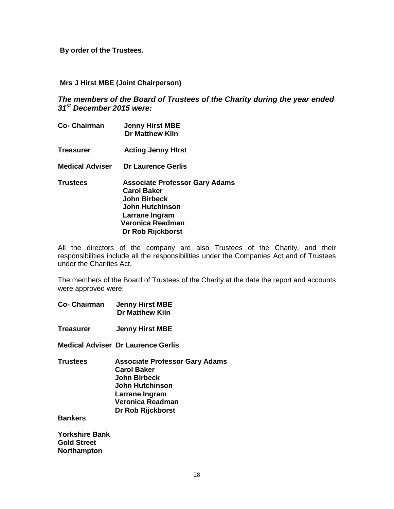**By order of the Trustees.**

**Mrs J Hirst MBE (Joint Chairperson)**

*The members of the Board of Trustees of the Charity during the year ended 31st December 2015 were:*

- **Co- Chairman Jenny Hirst MBE Dr Matthew Kiln Treasurer Acting Jenny HIrst**
- **Medical Adviser Dr Laurence Gerlis**
- **Trustees Associate Professor Gary Adams Carol Baker John Birbeck John Hutchinson Larrane Ingram Veronica Readman Dr Rob Rijckborst**

All the directors of the company are also Trustees of the Charity, and their responsibilities include all the responsibilities under the Companies Act and of Trustees under the Charities Act.

The members of the Board of Trustees of the Charity at the date the report and accounts were approved were:

- **Co- Chairman Jenny Hirst MBE Dr Matthew Kiln**
- **Treasurer Jenny Hirst MBE**
- **Medical Adviser Dr Laurence Gerlis**
- **Trustees Associate Professor Gary Adams Carol Baker John Birbeck John Hutchinson Larrane Ingram Veronica Readman Dr Rob Rijckborst**

**Bankers**

**Yorkshire Bank Gold Street Northampton**